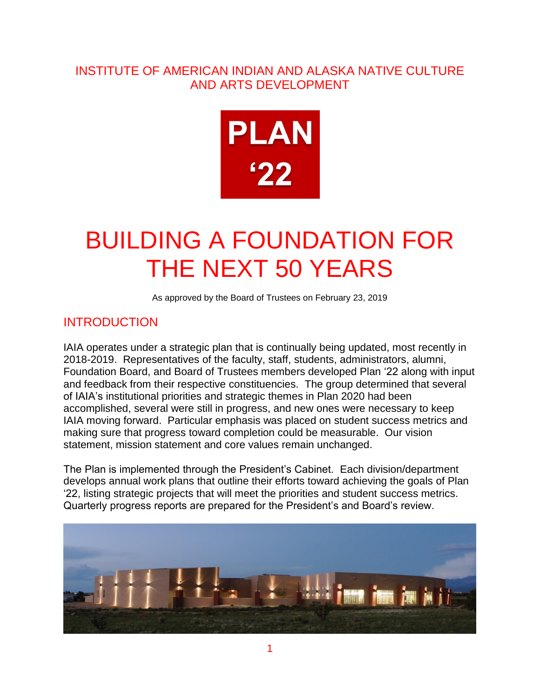## INSTITUTE OF AMERICAN INDIAN AND ALASKA NATIVE CULTURE AND ARTS DEVELOPMENT



# BUILDING A FOUNDATION FOR THE NEXT 50 YEARS

As approved by the Board of Trustees on February 23, 2019

#### INTRODUCTION

IAIA operates under a strategic plan that is continually being updated, most recently in 2018-2019. Representatives of the faculty, staff, students, administrators, alumni, Foundation Board, and Board of Trustees members developed Plan '22 along with input and feedback from their respective constituencies. The group determined that several of IAIA's institutional priorities and strategic themes in Plan 2020 had been accomplished, several were still in progress, and new ones were necessary to keep IAIA moving forward. Particular emphasis was placed on student success metrics and making sure that progress toward completion could be measurable. Our vision statement, mission statement and core values remain unchanged.

The Plan is implemented through the President's Cabinet. Each division/department develops annual work plans that outline their efforts toward achieving the goals of Plan '22, listing strategic projects that will meet the priorities and student success metrics. Quarterly progress reports are prepared for the President's and Board's review.

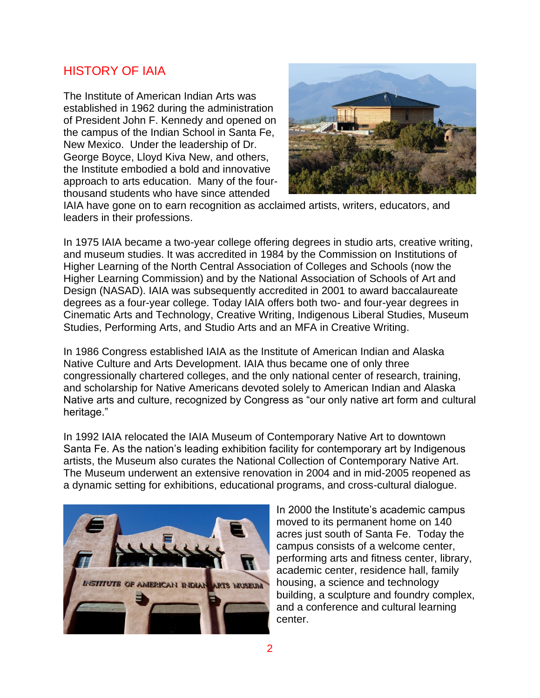#### HISTORY OF IAIA

The Institute of American Indian Arts was established in 1962 during the administration of President John F. Kennedy and opened on the campus of the Indian School in Santa Fe, New Mexico. Under the leadership of Dr. George Boyce, Lloyd Kiva New, and others, the Institute embodied a bold and innovative approach to arts education. Many of the fourthousand students who have since attended



IAIA have gone on to earn recognition as acclaimed artists, writers, educators, and leaders in their professions.

In 1975 IAIA became a two-year college offering degrees in studio arts, creative writing, and museum studies. It was accredited in 1984 by the Commission on Institutions of Higher Learning of the North Central Association of Colleges and Schools (now the Higher Learning Commission) and by the National Association of Schools of Art and Design (NASAD). IAIA was subsequently accredited in 2001 to award baccalaureate degrees as a four-year college. Today IAIA offers both two- and four-year degrees in Cinematic Arts and Technology, Creative Writing, Indigenous Liberal Studies, Museum Studies, Performing Arts, and Studio Arts and an MFA in Creative Writing.

In 1986 Congress established IAIA as the Institute of American Indian and Alaska Native Culture and Arts Development. IAIA thus became one of only three congressionally chartered colleges, and the only national center of research, training, and scholarship for Native Americans devoted solely to American Indian and Alaska Native arts and culture, recognized by Congress as "our only native art form and cultural heritage."

In 1992 IAIA relocated the IAIA Museum of Contemporary Native Art to downtown Santa Fe. As the nation's leading exhibition facility for contemporary art by Indigenous artists, the Museum also curates the National Collection of Contemporary Native Art. The Museum underwent an extensive renovation in 2004 and in mid-2005 reopened as a dynamic setting for exhibitions, educational programs, and cross-cultural dialogue.



In 2000 the Institute's academic campus moved to its permanent home on 140 acres just south of Santa Fe. Today the campus consists of a welcome center, performing arts and fitness center, library, academic center, residence hall, family housing, a science and technology building, a sculpture and foundry complex, and a conference and cultural learning center.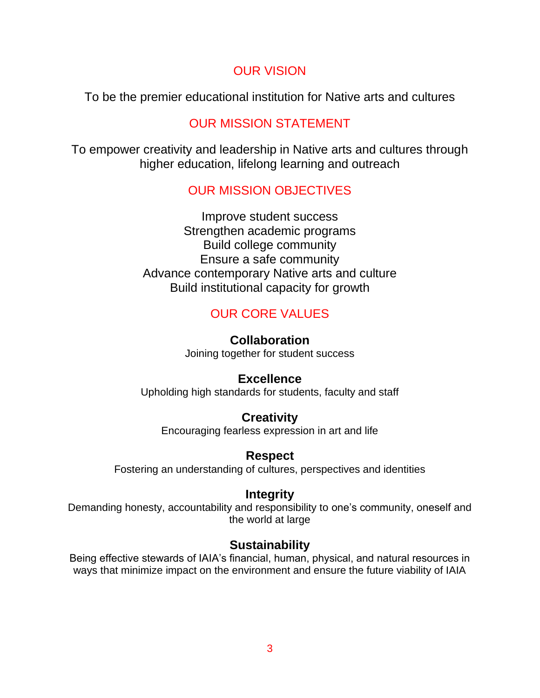# OUR VISION

To be the premier educational institution for Native arts and cultures

# OUR MISSION STATEMENT

To empower creativity and leadership in Native arts and cultures through higher education, lifelong learning and outreach

# OUR MISSION OBJECTIVES

Improve student success Strengthen academic programs Build college community Ensure a safe community Advance contemporary Native arts and culture Build institutional capacity for growth

# OUR CORE VALUES

**Collaboration** Joining together for student success

#### **Excellence**

Upholding high standards for students, faculty and staff

#### **Creativity**

Encouraging fearless expression in art and life

#### **Respect**

Fostering an understanding of cultures, perspectives and identities

#### **Integrity**

Demanding honesty, accountability and responsibility to one's community, oneself and the world at large

# **Sustainability**

Being effective stewards of IAIA's financial, human, physical, and natural resources in ways that minimize impact on the environment and ensure the future viability of IAIA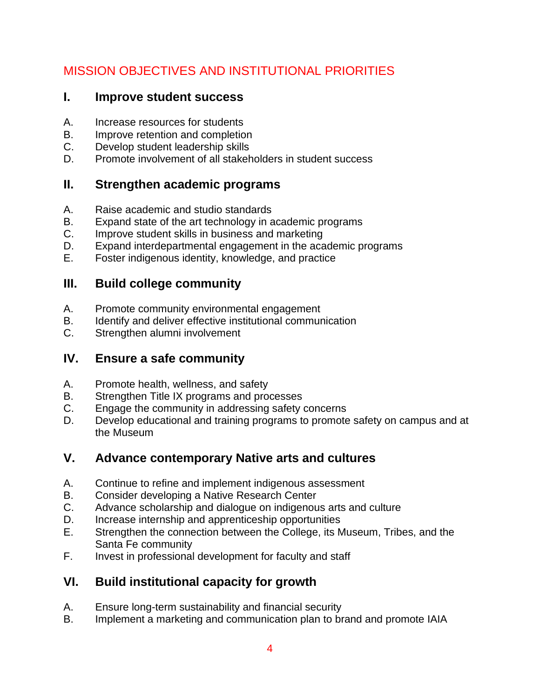# MISSION OBJECTIVES AND INSTITUTIONAL PRIORITIES

#### **I. Improve student success**

- A. Increase resources for students
- B. Improve retention and completion
- C. Develop student leadership skills
- D. Promote involvement of all stakeholders in student success

## **II. Strengthen academic programs**

- A. Raise academic and studio standards
- B. Expand state of the art technology in academic programs
- C. Improve student skills in business and marketing
- D. Expand interdepartmental engagement in the academic programs
- E. Foster indigenous identity, knowledge, and practice

# **III. Build college community**

- A. Promote community environmental engagement
- B. Identify and deliver effective institutional communication
- C. Strengthen alumni involvement

# **IV. Ensure a safe community**

- A. Promote health, wellness, and safety
- B. Strengthen Title IX programs and processes
- C. Engage the community in addressing safety concerns
- D. Develop educational and training programs to promote safety on campus and at the Museum

# **V. Advance contemporary Native arts and cultures**

- A. Continue to refine and implement indigenous assessment
- B. Consider developing a Native Research Center
- C. Advance scholarship and dialogue on indigenous arts and culture
- D. Increase internship and apprenticeship opportunities
- E. Strengthen the connection between the College, its Museum, Tribes, and the Santa Fe community
- F. Invest in professional development for faculty and staff

# **VI. Build institutional capacity for growth**

- A. Ensure long-term sustainability and financial security
- B. Implement a marketing and communication plan to brand and promote IAIA